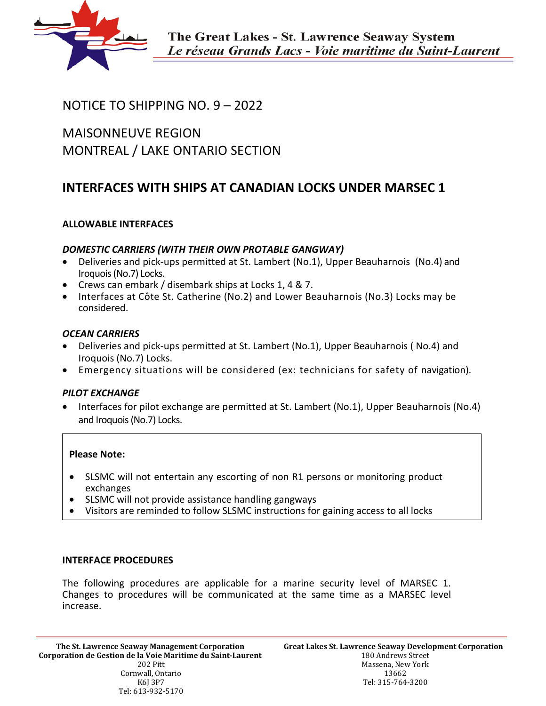

## NOTICE TO SHIPPING NO. 9 – 2022

MAISONNEUVE REGION MONTREAL / LAKE ONTARIO SECTION

# **INTERFACES WITH SHIPS AT CANADIAN LOCKS UNDER MARSEC 1**

## **ALLOWABLE INTERFACES**

## *DOMESTIC CARRIERS (WITH THEIR OWN PROTABLE GANGWAY)*

- Deliveries and pick-ups permitted at St. Lambert (No.1), Upper Beauharnois (No.4) and Iroquois (No.7) Locks.
- Crews can embark / disembark ships at Locks 1, 4 & 7.
- Interfaces at Côte St. Catherine (No.2) and Lower Beauharnois (No.3) Locks may be considered.

## *OCEAN CARRIERS*

- Deliveries and pick-ups permitted at St. Lambert (No.1), Upper Beauharnois ( No.4) and Iroquois (No.7) Locks.
- Emergency situations will be considered (ex: technicians for safety of navigation).

## *PILOT EXCHANGE*

• Interfaces for pilot exchange are permitted at St. Lambert (No.1), Upper Beauharnois (No.4) and Iroquois (No.7) Locks.

#### **Please Note:**

- SLSMC will not entertain any escorting of non R1 persons or monitoring product exchanges
- SLSMC will not provide assistance handling gangways
- Visitors are reminded to follow SLSMC instructions for gaining access to all locks

#### **INTERFACE PROCEDURES**

The following procedures are applicable for a marine security level of MARSEC 1. Changes to procedures will be communicated at the same time as a MARSEC level increase.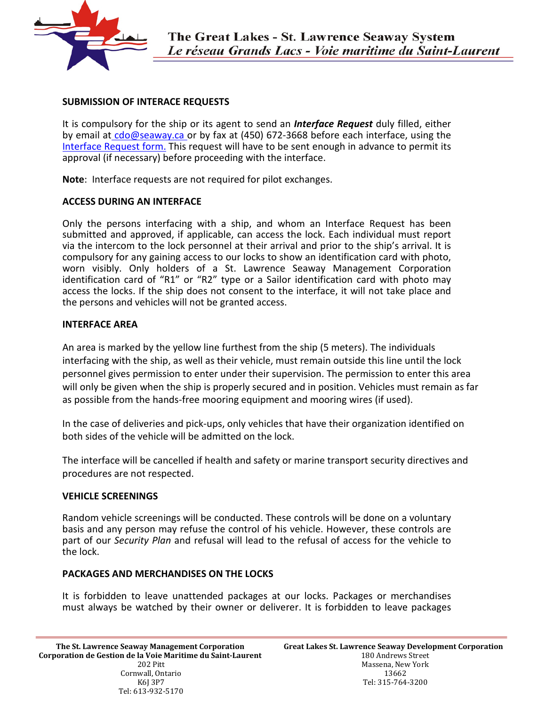

## **SUBMISSION OF INTERACE REQUESTS**

It is compulsory for the ship or its agent to send an *Interface Request* duly filled, either by email at [cdo@seaway.ca](mailto:cdo@seaway.ca) or by fax at (450) 672-3668 before each interface, using the [Interface Request form.](https://greatlakes-seaway.com/wp-content/uploads/2022/03/interface_request2022.pdf) This request will have to be sent enough in advance to permit its approval (if necessary) before proceeding with the interface.

**Note**: Interface requests are not required for pilot exchanges.

#### **ACCESS DURING AN INTERFACE**

Only the persons interfacing with a ship, and whom an Interface Request has been submitted and approved, if applicable, can access the lock. Each individual must report via the intercom to the lock personnel at their arrival and prior to the ship's arrival. It is compulsory for any gaining access to our locks to show an identification card with photo, worn visibly. Only holders of a St. Lawrence Seaway Management Corporation identification card of "R1" or "R2" type or a Sailor identification card with photo may access the locks. If the ship does not consent to the interface, it will not take place and the persons and vehicles will not be granted access.

#### **INTERFACE AREA**

An area is marked by the yellow line furthest from the ship (5 meters). The individuals interfacing with the ship, as well as their vehicle, must remain outside this line until the lock personnel gives permission to enter under their supervision. The permission to enter this area will only be given when the ship is properly secured and in position. Vehicles must remain as far as possible from the hands-free mooring equipment and mooring wires (if used).

In the case of deliveries and pick-ups, only vehicles that have their organization identified on both sides of the vehicle will be admitted on the lock.

The interface will be cancelled if health and safety or marine transport security directives and procedures are not respected.

#### **VEHICLE SCREENINGS**

Random vehicle screenings will be conducted. These controls will be done on a voluntary basis and any person may refuse the control of his vehicle. However, these controls are part of our *Security Plan* and refusal will lead to the refusal of access for the vehicle to the lock.

#### **PACKAGES AND MERCHANDISES ON THE LOCKS**

It is forbidden to leave unattended packages at our locks. Packages or merchandises must always be watched by their owner or deliverer. It is forbidden to leave packages